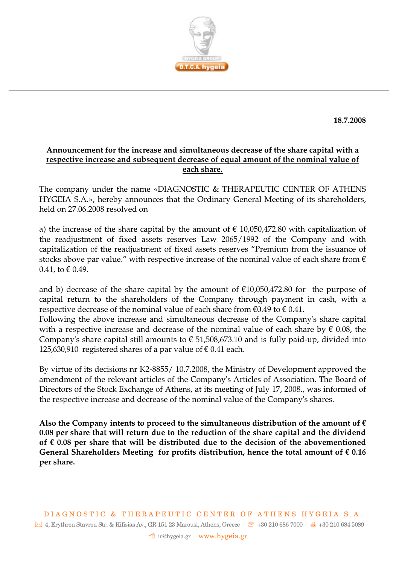

**18.7.2008** 

## **Announcement for the increase and simultaneous decrease of the share capital with a respective increase and subsequent decrease of equal amount of the nominal value of each share.**

The company under the name «DIAGNOSTIC & THERAPEUTIC CENTER OF ATHENS HYGEIA S.A.», hereby announces that the Ordinary General Meeting of its shareholders, held on 27.06.2008 resolved on

a) the increase of the share capital by the amount of  $\epsilon$  10,050,472.80 with capitalization of the readjustment of fixed assets reserves Law 2065/1992 of the Company and with capitalization of the readjustment of fixed assets reserves "Premium from the issuance of stocks above par value." with respective increase of the nominal value of each share from  $\epsilon$  $0.41$ , to € 0.49.

and b) decrease of the share capital by the amount of  $\epsilon$ 10,050,472.80 for the purpose of capital return to the shareholders of the Company through payment in cash, with a respective decrease of the nominal value of each share from  $\epsilon$ 0.49 to  $\epsilon$  0.41.

Following the above increase and simultaneous decrease of the Company's share capital with a respective increase and decrease of the nominal value of each share by  $\epsilon$  0.08, the Company's share capital still amounts to  $\epsilon$  51,508,673.10 and is fully paid-up, divided into 125,630,910 registered shares of a par value of  $\epsilon$  0.41 each.

By virtue of its decisions nr K2-8855/ 10.7.2008, the Ministry of Development approved the amendment of the relevant articles of the Company's Articles of Association. The Board of Directors of the Stock Exchange of Athens, at its meeting of July 17, 2008., was informed of the respective increase and decrease of the nominal value of the Company's shares.

Also the Company intents to proceed to the simultaneous distribution of the amount of  $\epsilon$ **0.08 per share that will return due to the reduction of the share capital and the dividend of € 0.08 per share that will be distributed due to the decision of the abovementioned General Shareholders Meeting for profits distribution, hence the total amount of € 0.16 per share.**